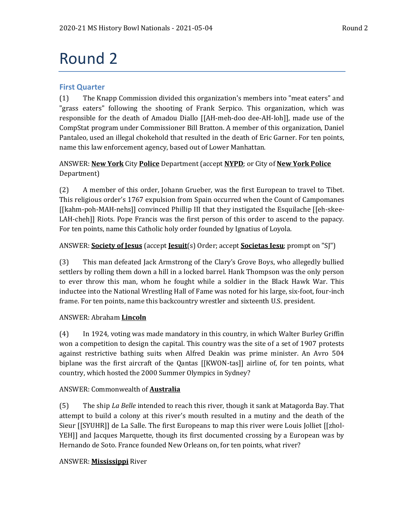# Round 2

# **First Quarter**

(1) The Knapp Commission divided this organization's members into "meat eaters" and "grass eaters" following the shooting of Frank Serpico. This organization, which was responsible for the death of Amadou Diallo [[AH-meh-doo dee-AH-loh]], made use of the CompStat program under Commissioner Bill Bratton. A member of this organization, Daniel Pantaleo, used an illegal chokehold that resulted in the death of Eric Garner. For ten points, name this law enforcement agency, based out of Lower Manhattan.

# ANSWER: **New York** City **Police** Department (accept **NYPD**; or City of **New York Police** Department)

(2) A member of this order, Johann Grueber, was the first European to travel to Tibet. This religious order's 1767 expulsion from Spain occurred when the Count of Campomanes [[kahm-poh-MAH-nehs]] convinced Phillip III that they instigated the Esquilache [[eh-skee-LAH-cheh]] Riots. Pope Francis was the first person of this order to ascend to the papacy. For ten points, name this Catholic holy order founded by Ignatius of Loyola.

# ANSWER: **Society of Jesus** (accept **Jesuit**(s) Order; accept **Societas Iesu**; prompt on "SJ")

(3) This man defeated Jack Armstrong of the Clary's Grove Boys, who allegedly bullied settlers by rolling them down a hill in a locked barrel. Hank Thompson was the only person to ever throw this man, whom he fought while a soldier in the Black Hawk War. This inductee into the National Wrestling Hall of Fame was noted for his large, six-foot, four-inch frame. For ten points, name this backcountry wrestler and sixteenth U.S. president.

# ANSWER: Abraham **Lincoln**

(4) In 1924, voting was made mandatory in this country, in which Walter Burley Griffin won a competition to design the capital. This country was the site of a set of 1907 protests against restrictive bathing suits when Alfred Deakin was prime minister. An Avro 504 biplane was the first aircraft of the Qantas [[KWON-tas]] airline of, for ten points, what country, which hosted the 2000 Summer Olympics in Sydney?

# ANSWER: Commonwealth of **Australia**

(5) The ship *La Belle* intended to reach this river, though it sank at Matagorda Bay. That attempt to build a colony at this river's mouth resulted in a mutiny and the death of the Sieur [[SYUHR]] de La Salle. The first Europeans to map this river were Louis Jolliet [[zhol-YEH]] and Jacques Marquette, though its first documented crossing by a European was by Hernando de Soto. France founded New Orleans on, for ten points, what river?

# ANSWER: **Mississippi** River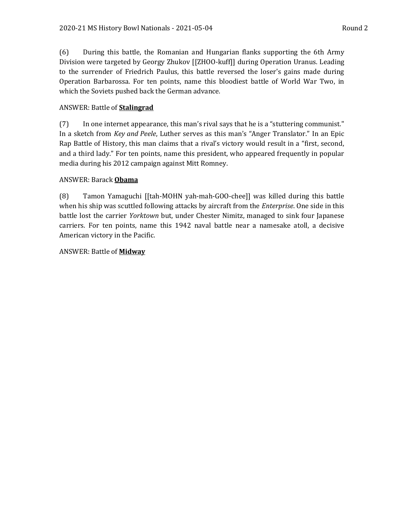(6) During this battle, the Romanian and Hungarian flanks supporting the 6th Army Division were targeted by Georgy Zhukov [[ZHOO-kuff]] during Operation Uranus. Leading to the surrender of Friedrich Paulus, this battle reversed the loser's gains made during Operation Barbarossa. For ten points, name this bloodiest battle of World War Two, in which the Soviets pushed back the German advance.

## ANSWER: Battle of **Stalingrad**

(7) In one internet appearance, this man's rival says that he is a "stuttering communist." In a sketch from *Key and Peele*, Luther serves as this man's "Anger Translator." In an Epic Rap Battle of History, this man claims that a rival's victory would result in a "first, second, and a third lady." For ten points, name this president, who appeared frequently in popular media during his 2012 campaign against Mitt Romney.

## ANSWER: Barack **Obama**

(8) Tamon Yamaguchi [[tah-MOHN yah-mah-GOO-chee]] was killed during this battle when his ship was scuttled following attacks by aircraft from the *Enterprise*. One side in this battle lost the carrier *Yorktown* but, under Chester Nimitz, managed to sink four Japanese carriers. For ten points, name this 1942 naval battle near a namesake atoll, a decisive American victory in the Pacific.

## ANSWER: Battle of **Midway**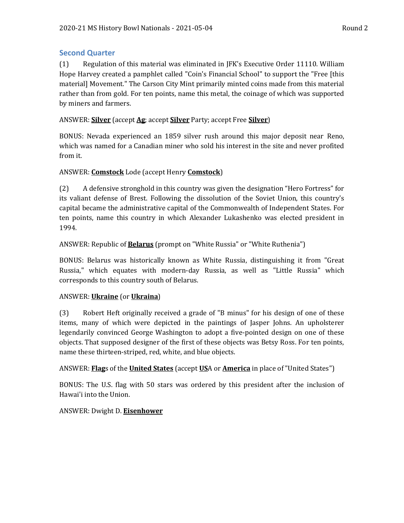# **Second Quarter**

(1) Regulation of this material was eliminated in JFK's Executive Order 11110. William Hope Harvey created a pamphlet called "Coin's Financial School" to support the "Free [this material] Movement." The Carson City Mint primarily minted coins made from this material rather than from gold. For ten points, name this metal, the coinage of which was supported by miners and farmers.

# ANSWER: **Silver** (accept **Ag**; accept **Silver** Party; accept Free **Silver**)

BONUS: Nevada experienced an 1859 silver rush around this major deposit near Reno, which was named for a Canadian miner who sold his interest in the site and never profited from it.

# ANSWER: **Comstock** Lode (accept Henry **Comstock**)

(2) A defensive stronghold in this country was given the designation "Hero Fortress" for its valiant defense of Brest. Following the dissolution of the Soviet Union, this country's capital became the administrative capital of the Commonwealth of Independent States. For ten points, name this country in which Alexander Lukashenko was elected president in 1994.

# ANSWER: Republic of **Belarus** (prompt on "White Russia" or "White Ruthenia")

BONUS: Belarus was historically known as White Russia, distinguishing it from "Great Russia," which equates with modern-day Russia, as well as "Little Russia" which corresponds to this country south of Belarus.

# ANSWER: **Ukraine** (or **Ukraina**)

(3) Robert Heft originally received a grade of "B minus" for his design of one of these items, many of which were depicted in the paintings of Jasper Johns. An upholsterer legendarily convinced George Washington to adopt a five-pointed design on one of these objects. That supposed designer of the first of these objects was Betsy Ross. For ten points, name these thirteen-striped, red, white, and blue objects.

# ANSWER: **Flag**s of the **United States** (accept **US**A or **America** in place of "United States")

BONUS: The U.S. flag with 50 stars was ordered by this president after the inclusion of Hawai'i into the Union.

# ANSWER: Dwight D. **Eisenhower**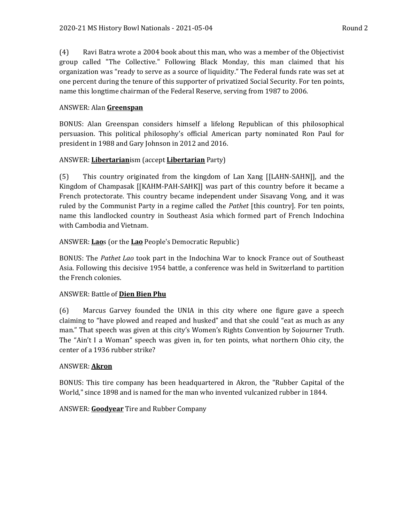(4) Ravi Batra wrote a 2004 book about this man, who was a member of the Objectivist group called "The Collective." Following Black Monday, this man claimed that his organization was "ready to serve as a source of liquidity." The Federal funds rate was set at one percent during the tenure of this supporter of privatized Social Security. For ten points, name this longtime chairman of the Federal Reserve, serving from 1987 to 2006.

## ANSWER: Alan **Greenspan**

BONUS: Alan Greenspan considers himself a lifelong Republican of this philosophical persuasion. This political philosophy's official American party nominated Ron Paul for president in 1988 and Gary Johnson in 2012 and 2016.

## ANSWER: **Libertarian**ism (accept **Libertarian** Party)

(5) This country originated from the kingdom of Lan Xang [[LAHN-SAHN]], and the Kingdom of Champasak [[KAHM-PAH-SAHK]] was part of this country before it became a French protectorate. This country became independent under Sisavang Vong, and it was ruled by the Communist Party in a regime called the *Pathet* [this country]. For ten points, name this landlocked country in Southeast Asia which formed part of French Indochina with Cambodia and Vietnam.

## ANSWER: **Lao**s (or the **Lao** People's Democratic Republic)

BONUS: The *Pathet Lao* took part in the Indochina War to knock France out of Southeast Asia. Following this decisive 1954 battle, a conference was held in Switzerland to partition the French colonies.

## ANSWER: Battle of **Dien Bien Phu**

(6) Marcus Garvey founded the UNIA in this city where one figure gave a speech claiming to "have plowed and reaped and husked" and that she could "eat as much as any man." That speech was given at this city's Women's Rights Convention by Sojourner Truth. The "Ain't I a Woman" speech was given in, for ten points, what northern Ohio city, the center of a 1936 rubber strike?

## ANSWER: **Akron**

BONUS: This tire company has been headquartered in Akron, the "Rubber Capital of the World," since 1898 and is named for the man who invented vulcanized rubber in 1844.

## ANSWER: **Goodyear** Tire and Rubber Company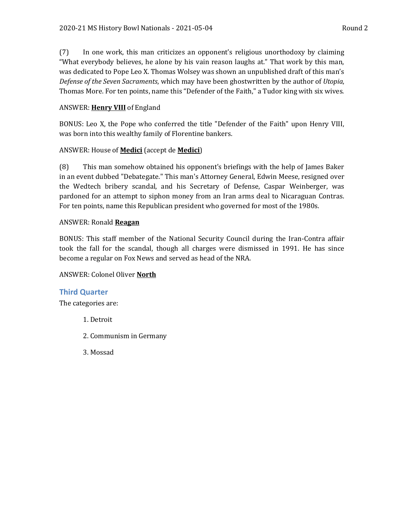(7) In one work, this man criticizes an opponent's religious unorthodoxy by claiming "What everybody believes, he alone by his vain reason laughs at." That work by this man, was dedicated to Pope Leo X. Thomas Wolsey was shown an unpublished draft of this man's *Defense of the Seven Sacraments*, which may have been ghostwritten by the author of *Utopia*, Thomas More. For ten points, name this "Defender of the Faith," a Tudor king with six wives.

# ANSWER: **Henry VIII** of England

BONUS: Leo X, the Pope who conferred the title "Defender of the Faith" upon Henry VIII, was born into this wealthy family of Florentine bankers.

# ANSWER: House of **Medici** (accept de **Medici**)

(8) This man somehow obtained his opponent's briefings with the help of James Baker in an event dubbed "Debategate." This man's Attorney General, Edwin Meese, resigned over the Wedtech bribery scandal, and his Secretary of Defense, Caspar Weinberger, was pardoned for an attempt to siphon money from an Iran arms deal to Nicaraguan Contras. For ten points, name this Republican president who governed for most of the 1980s.

# ANSWER: Ronald **Reagan**

BONUS: This staff member of the National Security Council during the Iran-Contra affair took the fall for the scandal, though all charges were dismissed in 1991. He has since become a regular on Fox News and served as head of the NRA.

# ANSWER: Colonel Oliver **North**

# **Third Quarter**

The categories are:

- 1. Detroit
- 2. Communism in Germany
- 3. Mossad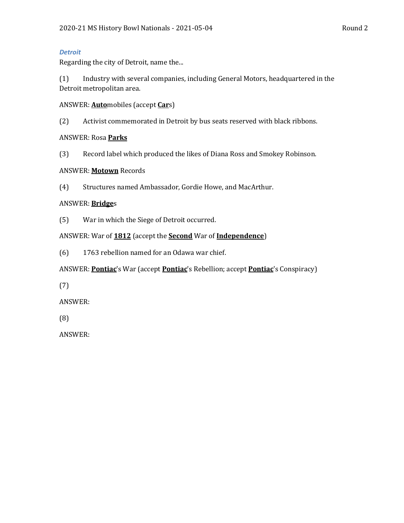## *Detroit*

Regarding the city of Detroit, name the...

(1) Industry with several companies, including General Motors, headquartered in the Detroit metropolitan area.

ANSWER: **Auto**mobiles (accept **Car**s)

(2) Activist commemorated in Detroit by bus seats reserved with black ribbons.

ANSWER: Rosa **Parks**

(3) Record label which produced the likes of Diana Ross and Smokey Robinson.

## ANSWER: **Motown** Records

(4) Structures named Ambassador, Gordie Howe, and MacArthur.

# ANSWER: **Bridge**s

(5) War in which the Siege of Detroit occurred.

ANSWER: War of **1812** (accept the **Second** War of **Independence**)

(6) 1763 rebellion named for an Odawa war chief.

ANSWER: **Pontiac**'s War (accept **Pontiac**'s Rebellion; accept **Pontiac**'s Conspiracy)

(7)

ANSWER:

(8)

ANSWER: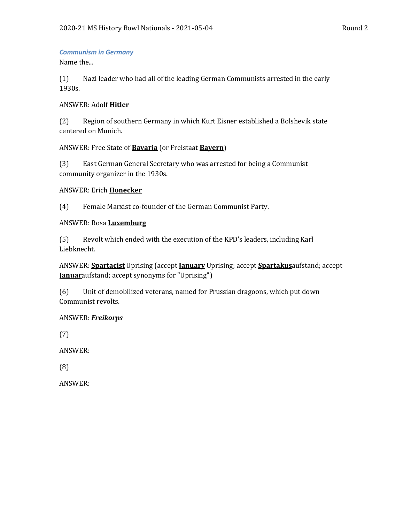## *Communism in Germany*

Name the...

(1) Nazi leader who had all of the leading German Communists arrested in the early 1930s.

## ANSWER: Adolf **Hitler**

(2) Region of southern Germany in which Kurt Eisner established a Bolshevik state centered on Munich.

## ANSWER: Free State of **Bavaria** (or Freistaat **Bayern**)

(3) East German General Secretary who was arrested for being a Communist community organizer in the 1930s.

## ANSWER: Erich **Honecker**

(4) Female Marxist co-founder of the German Communist Party.

## ANSWER: Rosa **Luxemburg**

(5) Revolt which ended with the execution of the KPD's leaders, including Karl Liebknecht.

ANSWER: **Spartacist** Uprising (accept **January** Uprising; accept **Spartakus**aufstand; accept **Januar**aufstand; accept synonyms for "Uprising")

(6) Unit of demobilized veterans, named for Prussian dragoons, which put down Communist revolts.

## ANSWER: *Freikorps*

(7)

ANSWER:

(8)

ANSWER: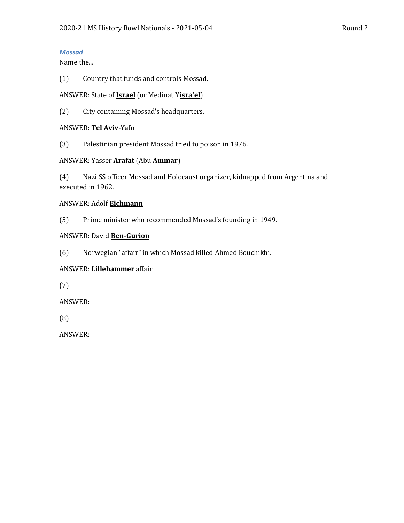## *Mossad*

Name the...

(1) Country that funds and controls Mossad.

## ANSWER: State of **Israel** (or Medinat Y**isra'el**)

(2) City containing Mossad's headquarters.

## ANSWER: **Tel Aviv**-Yafo

(3) Palestinian president Mossad tried to poison in 1976.

## ANSWER: Yasser **Arafat** (Abu **Ammar**)

(4) Nazi SS officer Mossad and Holocaust organizer, kidnapped from Argentina and executed in 1962.

## ANSWER: Adolf **Eichmann**

(5) Prime minister who recommended Mossad's founding in 1949.

## ANSWER: David **Ben-Gurion**

(6) Norwegian "affair" in which Mossad killed Ahmed Bouchikhi.

# ANSWER: **Lillehammer** affair

(7)

ANSWER:

(8)

ANSWER: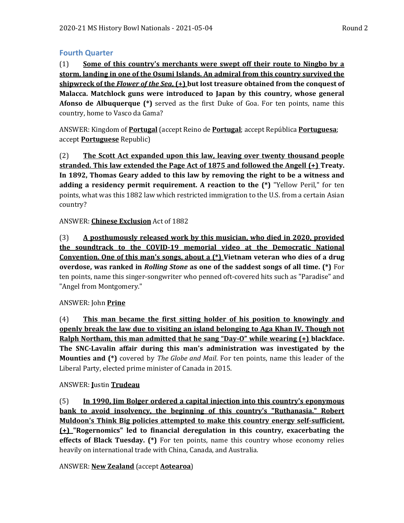# **Fourth Quarter**

(1) **Some of this country's merchants were swept off their route to Ningbo by a storm, landing in one of the Osumi Islands. An admiral from this country survived the shipwreck of the** *Flower of the Sea***, (+) but lost treasure obtained from the conquest of Malacca. Matchlock guns were introduced to Japan by this country, whose general Afonso de Albuquerque (\*)** served as the first Duke of Goa. For ten points, name this country, home to Vasco da Gama?

ANSWER: Kingdom of **Portugal** (accept Reino de **Portugal**; accept República **Portuguesa**; accept **Portuguese** Republic)

(2) **The Scott Act expanded upon this law, leaving over twenty thousand people stranded. This law extended the Page Act of 1875 and followed the Angell (+) Treaty. In 1892, Thomas Geary added to this law by removing the right to be a witness and adding a residency permit requirement. A reaction to the (\*)** "Yellow Peril," for ten points, what was this 1882 law which restricted immigration to the U.S. from a certain Asian country?

## ANSWER: **Chinese Exclusion** Act of 1882

(3) **A posthumously released work by this musician, who died in 2020, provided the soundtrack to the COVID-19 memorial video at the Democratic National Convention. One of this man's songs, about a (\*) Vietnam veteran who dies of a drug overdose, was ranked in** *Rolling Stone* **as one of the saddest songs of all time. (\*)** For ten points, name this singer-songwriter who penned oft-covered hits such as "Paradise" and "Angel from Montgomery."

## ANSWER: John **Prine**

(4) **This man became the first sitting holder of his position to knowingly and openly break the law due to visiting an island belonging to Aga Khan IV. Though not Ralph Northam, this man admitted that he sang "Day-O" while wearing (+) blackface. The SNC-Lavalin affair during this man's administration was investigated by the Mounties and (\*)** covered by *The Globe and Mail*. For ten points, name this leader of the Liberal Party, elected prime minister of Canada in 2015.

# ANSWER: **J**ustin **Trudeau**

(5) **In 1990, Jim Bolger ordered a capital injection into this country's eponymous bank to avoid insolvency, the beginning of this country's "Ruthanasia." Robert Muldoon's Think Big policies attempted to make this country energy self-sufficient. (+) "Rogernomics" led to financial deregulation in this country, exacerbating the effects of Black Tuesday. (\*)** For ten points, name this country whose economy relies heavily on international trade with China, Canada, and Australia.

# ANSWER: **New Zealand** (accept **Aotearoa**)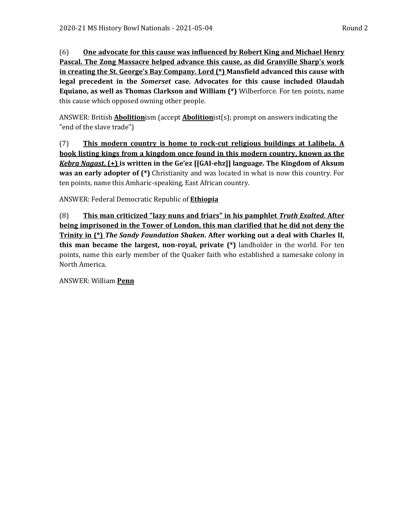(6) **One advocate for this cause was influenced by Robert King and Michael Henry Pascal. The Zong Massacre helped advance this cause, as did Granville Sharp's work in creating the St. George's Bay Company. Lord (\*) Mansfield advanced this cause with legal precedent in the** *Somerset* **case. Advocates for this cause included Olaudah Equiano, as well as Thomas Clarkson and William (\*)** Wilberforce. For ten points, name this cause which opposed owning other people.

ANSWER: British **Abolition**ism (accept **Abolition**ist(s); prompt on answers indicating the "end of the slave trade")

(7) **This modern country is home to rock-cut religious buildings at Lalibela. A book listing kings from a kingdom once found in this modern country, known as the**  *Kebra Nagast***, (+) is written in the Ge'ez [[GAI-ehz]] language. The Kingdom of Aksum was an early adopter of (\*)** Christianity and was located in what is now this country. For ten points, name this Amharic-speaking, East African country.

ANSWER: Federal Democratic Republic of **Ethiopia**

(8) **This man criticized "lazy nuns and friars" in his pamphlet** *Truth Exalted***. After being imprisoned in the Tower of London, this man clarified that he did not deny the Trinity in (\*)** *The Sandy Foundation Shaken***. After working out a deal with Charles II, this man became the largest, non-royal, private (\*)** landholder in the world. For ten points, name this early member of the Quaker faith who established a namesake colony in North America.

ANSWER: William **Penn**